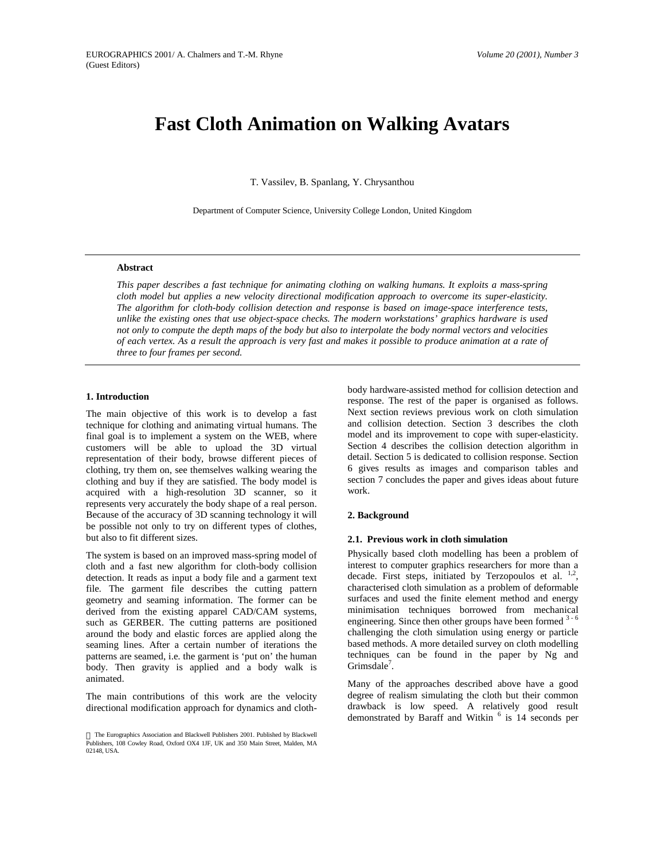# **Fast Cloth Animation on Walking Avatars**

T. Vassilev, B. Spanlang, Y. Chrysanthou

Department of Computer Science, University College London, United Kingdom

## **Abstract**

*This paper describes a fast technique for animating clothing on walking humans. It exploits a mass-spring cloth model but applies a new velocity directional modification approach to overcome its super-elasticity. The algorithm for cloth-body collision detection and response is based on image-space interference tests, unlike the existing ones that use object-space checks. The modern workstations' graphics hardware is used not only to compute the depth maps of the body but also to interpolate the body normal vectors and velocities of each vertex. As a result the approach is very fast and makes it possible to produce animation at a rate of three to four frames per second.*

## **1. Introduction**

The main objective of this work is to develop a fast technique for clothing and animating virtual humans. The final goal is to implement a system on the WEB, where customers will be able to upload the 3D virtual representation of their body, browse different pieces of clothing, try them on, see themselves walking wearing the clothing and buy if they are satisfied. The body model is acquired with a high-resolution 3D scanner, so it represents very accurately the body shape of a real person. Because of the accuracy of 3D scanning technology it will be possible not only to try on different types of clothes, but also to fit different sizes.

The system is based on an improved mass-spring model of cloth and a fast new algorithm for cloth-body collision detection. It reads as input a body file and a garment text file. The garment file describes the cutting pattern geometry and seaming information. The former can be derived from the existing apparel CAD/CAM systems, such as GERBER. The cutting patterns are positioned around the body and elastic forces are applied along the seaming lines. After a certain number of iterations the patterns are seamed, i.e. the garment is 'put on' the human body. Then gravity is applied and a body walk is animated.

The main contributions of this work are the velocity directional modification approach for dynamics and cloth-

body hardware-assisted method for collision detection and response. The rest of the paper is organised as follows. Next section reviews previous work on cloth simulation and collision detection. Section 3 describes the cloth model and its improvement to cope with super-elasticity. Section 4 describes the collision detection algorithm in detail. Section 5 is dedicated to collision response. Section 6 gives results as images and comparison tables and section 7 concludes the paper and gives ideas about future work.

#### **2. Background**

#### **2.1. Previous work in cloth simulation**

Physically based cloth modelling has been a problem of interest to computer graphics researchers for more than a decade. First steps, initiated by Terzopoulos et al.  $^{1,2}$ , characterised cloth simulation as a problem of deformable surfaces and used the finite element method and energy minimisation techniques borrowed from mechanical engineering. Since then other groups have been formed  $3-6$ challenging the cloth simulation using energy or particle based methods. A more detailed survey on cloth modelling techniques can be found in the paper by Ng and Grimsdale<sup>7</sup>.

Many of the approaches described above have a good degree of realism simulating the cloth but their common drawback is low speed. A relatively good result demonstrated by Baraff and Witkin <sup>6</sup> is 14 seconds per

The Eurographics Association and Blackwell Publishers 2001. Published by Blackwell Publishers, 108 Cowley Road, Oxford OX4 1JF, UK and 350 Main Street, Malden, MA 02148, USA.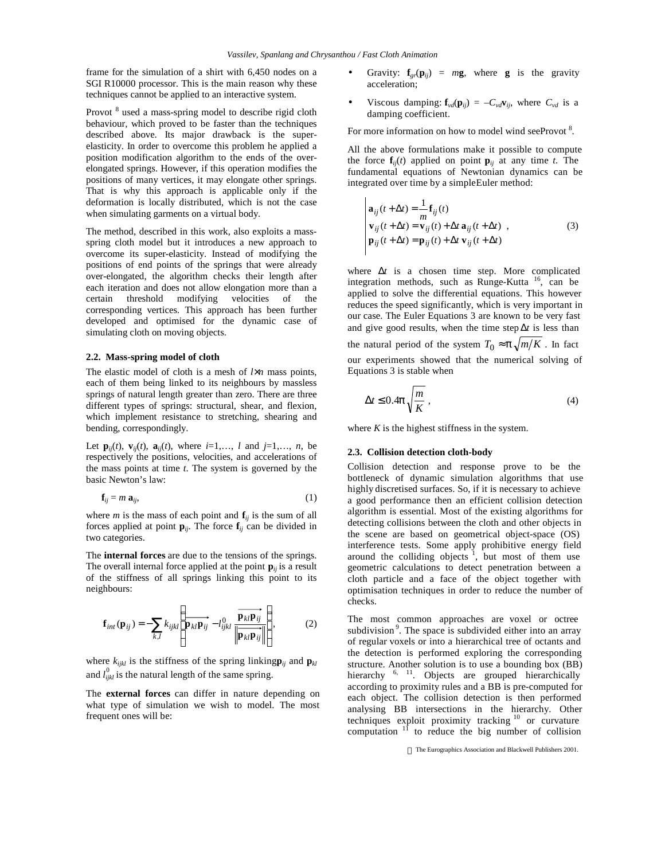frame for the simulation of a shirt with 6,450 nodes on a SGI R10000 processor. This is the main reason why these techniques cannot be applied to an interactive system.

Provot <sup>8</sup> used a mass-spring model to describe rigid cloth behaviour, which proved to be faster than the techniques described above. Its major drawback is the superelasticity. In order to overcome this problem he applied a position modification algorithm to the ends of the overelongated springs. However, if this operation modifies the positions of many vertices, it may elongate other springs. That is why this approach is applicable only if the deformation is locally distributed, which is not the case when simulating garments on a virtual body.

The method, described in this work, also exploits a massspring cloth model but it introduces a new approach to overcome its super-elasticity. Instead of modifying the positions of end points of the springs that were already over-elongated, the algorithm checks their length after each iteration and does not allow elongation more than a certain threshold modifying velocities of the corresponding vertices. This approach has been further developed and optimised for the dynamic case of simulating cloth on moving objects.

## **2.2. Mass-spring model of cloth**

The elastic model of cloth is a mesh of *l*×*n* mass points, each of them being linked to its neighbours by massless springs of natural length greater than zero. There are three different types of springs: structural, shear, and flexion, which implement resistance to stretching, shearing and bending, correspondingly.

Let  $\mathbf{p}_{ij}(t)$ ,  $\mathbf{v}_{ij}(t)$ ,  $\mathbf{a}_{ij}(t)$ , where  $i=1,..., l$  and  $j=1,..., n$ , be respectively the positions, velocities, and accelerations of the mass points at time *t*. The system is governed by the basic Newton's law:

$$
\mathbf{f}_{ij} = m \, \mathbf{a}_{ij},\tag{1}
$$

where *m* is the mass of each point and  $f_{ii}$  is the sum of all forces applied at point  $\mathbf{p}_{ii}$ . The force  $\mathbf{f}_{ii}$  can be divided in two categories.

The **internal forces** are due to the tensions of the springs. The overall internal force applied at the point  $\mathbf{p}_{ii}$  is a result of the stiffness of all springs linking this point to its neighbours:

$$
\mathbf{f}_{int}(\mathbf{p}_{ij}) = -\sum_{k,l} k_{ijkl} \left( \overrightarrow{\mathbf{p}_{kl} \mathbf{p}_{ij}} - l_{ijkl}^0 \frac{\overrightarrow{\mathbf{p}_{kl} \mathbf{p}_{ij}}}{\left\| \overrightarrow{\mathbf{p}_{kl} \mathbf{p}_{ij}} \right\|} \right),
$$
 (2)

where  $k_{ijkl}$  is the stiffness of the spring linking  $\mathbf{p}_{ij}$  and  $\mathbf{p}_{kl}$ and  $l_{ijkl}^0$  is the natural length of the same spring.

The **external forces** can differ in nature depending on what type of simulation we wish to model. The most frequent ones will be:

- Gravity:  $f_{gr}(\mathbf{p}_{ii}) = mg$ , where **g** is the gravity acceleration;
- Viscous damping:  $f_{vd}(\mathbf{p}_{ii}) = -C_{vd}\mathbf{v}_{ii}$ , where  $C_{vd}$  is a damping coefficient.

For more information on how to model wind seeProvot<sup>8</sup>.

All the above formulations make it possible to compute the force  $f_{ij}(t)$  applied on point  $p_{ij}$  at any time *t*. The fundamental equations of Newtonian dynamics can be integrated over time by a simple Euler method:

$$
\mathbf{a}_{ij}(t + \Delta t) = \frac{1}{m} \mathbf{f}_{ij}(t)
$$
\n
$$
\mathbf{v}_{ij}(t + \Delta t) = \mathbf{v}_{ij}(t) + \Delta t \mathbf{a}_{ij}(t + \Delta t) ,
$$
\n
$$
\mathbf{p}_{ij}(t + \Delta t) = \mathbf{p}_{ij}(t) + \Delta t \mathbf{v}_{ij}(t + \Delta t) .
$$
\n(3)

where Δ*t* is a chosen time step. More complicated integration methods, such as Runge-Kutta <sup>16</sup>, can be applied to solve the differential equations. This however reduces the speed significantly, which is very important in our case. The Euler Equations 3 are known to be very fast and give good results, when the time step Δ*t* is less than the natural period of the system  $T_0 \approx p \sqrt{m/K}$ . In fact our experiments showed that the numerical solving of Equations 3 is stable when

$$
\Delta t \le 0.4 \mathcal{P} \sqrt{\frac{m}{K}} \,,\tag{4}
$$

where  $K$  is the highest stiffness in the system.

## **2.3. Collision detection cloth-body**

Collision detection and response prove to be the bottleneck of dynamic simulation algorithms that use highly discretised surfaces. So, if it is necessary to achieve a good performance then an efficient collision detection algorithm is essential. Most of the existing algorithms for detecting collisions between the cloth and other objects in the scene are based on geometrical object-space (OS) interference tests. Some apply prohibitive energy field around the colliding objects  $\frac{1}{1}$ , but most of them use geometric calculations to detect penetration between a cloth particle and a face of the object together with optimisation techniques in order to reduce the number of checks.

The most common approaches are voxel or octree subdivision<sup>9</sup>. The space is subdivided either into an array of regular voxels or into a hierarchical tree of octants and the detection is performed exploring the corresponding structure. Another solution is to use a bounding box (BB) hierarchy <sup>6, 11</sup>. Objects are grouped hierarchically according to proximity rules and a BB is pre-computed for each object. The collision detection is then performed analysing BB intersections in the hierarchy. Other techniques exploit proximity tracking <sup>10</sup> or curvature computation  $11$  to reduce the big number of collision

The Eurographics Association and Blackwell Publishers 2001.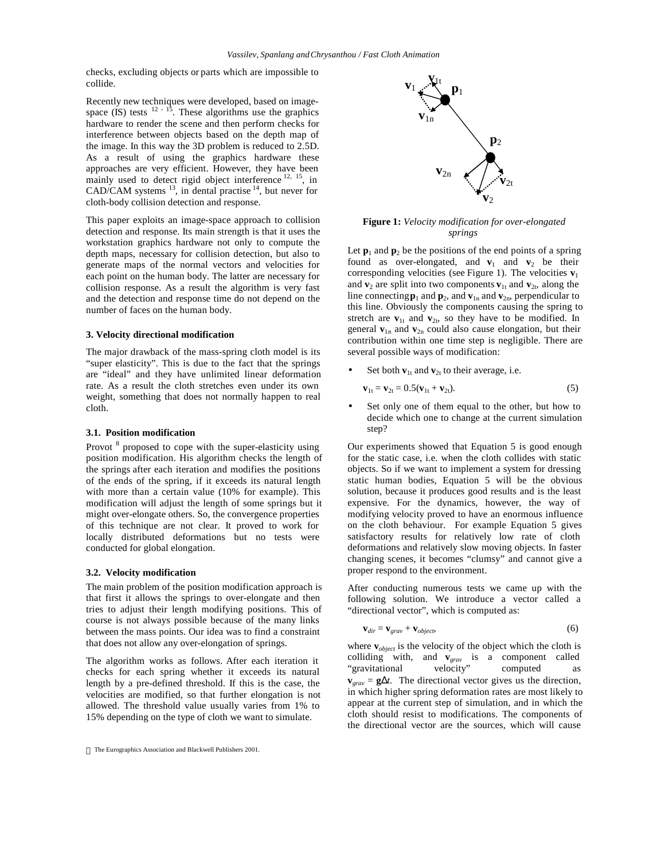checks, excluding objects or parts which are impossible to collide.

Recently new techniques were developed, based on imagespace (IS) tests  $12 - 15$ . These algorithms use the graphics hardware to render the scene and then perform checks for interference between objects based on the depth map of the image. In this way the 3D problem is reduced to 2.5D. As a result of using the graphics hardware these approaches are very efficient. However, they have been mainly used to detect rigid object interference  $12, 15$ , in CAD/CAM systems  $^{13}$ , in dental practise  $^{14}$ , but never for cloth-body collision detection and response.

This paper exploits an image-space approach to collision detection and response. Its main strength is that it uses the workstation graphics hardware not only to compute the depth maps, necessary for collision detection, but also to generate maps of the normal vectors and velocities for each point on the human body. The latter are necessary for collision response. As a result the algorithm is very fast and the detection and response time do not depend on the number of faces on the human body.

## **3. Velocity directional modification**

The major drawback of the mass-spring cloth model is its "super elasticity". This is due to the fact that the springs are "ideal" and they have unlimited linear deformation rate. As a result the cloth stretches even under its own weight, something that does not normally happen to real cloth.

#### **3.1. Position modification**

Provot <sup>8</sup> proposed to cope with the super-elasticity using position modification. His algorithm checks the length of the springs after each iteration and modifies the positions of the ends of the spring, if it exceeds its natural length with more than a certain value (10% for example). This modification will adjust the length of some springs but it might over-elongate others. So, the convergence properties of this technique are not clear. It proved to work for locally distributed deformations but no tests were conducted for global elongation.

#### **3.2. Velocity modification**

The main problem of the position modification approach is that first it allows the springs to over-elongate and then tries to adjust their length modifying positions. This of course is not always possible because of the many links between the mass points. Our idea was to find a constraint that does not allow any over-elongation of springs.

The algorithm works as follows. After each iteration it checks for each spring whether it exceeds its natural length by a pre-defined threshold. If this is the case, the velocities are modified, so that further elongation is not allowed. The threshold value usually varies from 1% to 15% depending on the type of cloth we want to simulate.



**Figure 1:** *Velocity modification for over-elongated springs*

Let  $\mathbf{p}_1$  and  $\mathbf{p}_2$  be the positions of the end points of a spring found as over-elongated, and  $v_1$  and  $v_2$  be their corresponding velocities (see Figure 1). The velocities  $\mathbf{v}_1$ and  $\mathbf{v}_2$  are split into two components  $\mathbf{v}_{1t}$  and  $\mathbf{v}_{2t}$ , along the line connecting  $\mathbf{p}_1$  and  $\mathbf{p}_2$ , and  $\mathbf{v}_{1n}$  and  $\mathbf{v}_{2n}$ , perpendicular to this line. Obviously the components causing the spring to stretch are  $\mathbf{v}_{1t}$  and  $\mathbf{v}_{2t}$ , so they have to be modified. In general  $\mathbf{v}_{1n}$  and  $\mathbf{v}_{2n}$  could also cause elongation, but their contribution within one time step is negligible. There are several possible ways of modification:

Set both  $\mathbf{v}_{1t}$  and  $\mathbf{v}_{2t}$  to their average, i.e.

$$
\mathbf{v}_{1t} = \mathbf{v}_{2t} = 0.5(\mathbf{v}_{1t} + \mathbf{v}_{2t}).
$$
 (5)

Set only one of them equal to the other, but how to decide which one to change at the current simulation step?

Our experiments showed that Equation 5 is good enough for the static case, i.e. when the cloth collides with static objects. So if we want to implement a system for dressing static human bodies, Equation 5 will be the obvious solution, because it produces good results and is the least expensive. For the dynamics, however, the way of modifying velocity proved to have an enormous influence on the cloth behaviour. For example Equation 5 gives satisfactory results for relatively low rate of cloth deformations and relatively slow moving objects. In faster changing scenes, it becomes "clumsy" and cannot give a proper respond to the environment.

After conducting numerous tests we came up with the following solution. We introduce a vector called a "directional vector", which is computed as:

$$
\mathbf{v}_{dir} = \mathbf{v}_{grav} + \mathbf{v}_{object},\tag{6}
$$

where **v***object* is the velocity of the object which the cloth is colliding with, and **v**<sub>*grav*</sub> is a component called "gravitational velocity" computed as "gravitational velocity" computed as  $\mathbf{v}_{grav} = \mathbf{g}\Delta t$ . The directional vector gives us the direction, in which higher spring deformation rates are most likely to appear at the current step of simulation, and in which the cloth should resist to modifications. The components of the directional vector are the sources, which will cause

The Eurographics Association and Blackwell Publishers 2001.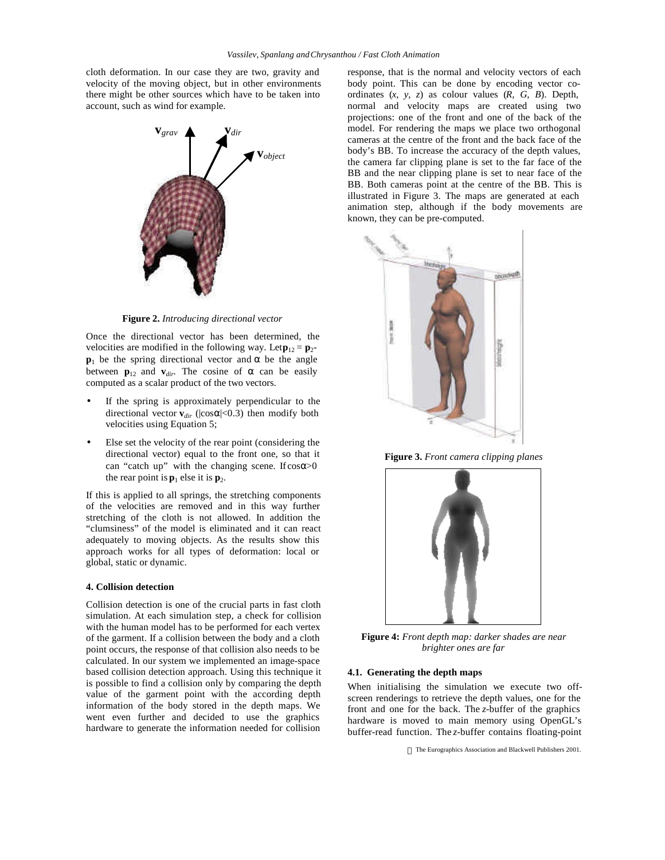cloth deformation. In our case they are two, gravity and velocity of the moving object, but in other environments there might be other sources which have to be taken into account, such as wind for example.



**Figure 2.** *Introducing directional vector*

Once the directional vector has been determined, the velocities are modified in the following way. Let  $\mathbf{p}_{12} = \mathbf{p}_2$ - $\mathbf{p}_1$  be the spring directional vector and  $\alpha$  be the angle between  $\mathbf{p}_{12}$  and  $\mathbf{v}_{dir}$ . The cosine of  $\alpha$  can be easily computed as a scalar product of the two vectors.

- If the spring is approximately perpendicular to the directional vector  $\mathbf{v}_{dir}$  ( $|\cos \alpha|$ <0.3) then modify both velocities using Equation 5;
- Else set the velocity of the rear point (considering the directional vector) equal to the front one, so that it can "catch up" with the changing scene. If  $cos \alpha > 0$ the rear point is  $\mathbf{p}_1$  else it is  $\mathbf{p}_2$ .

If this is applied to all springs, the stretching components of the velocities are removed and in this way further stretching of the cloth is not allowed. In addition the "clumsiness" of the model is eliminated and it can react adequately to moving objects. As the results show this approach works for all types of deformation: local or global, static or dynamic.

#### **4. Collision detection**

Collision detection is one of the crucial parts in fast cloth simulation. At each simulation step, a check for collision with the human model has to be performed for each vertex of the garment. If a collision between the body and a cloth point occurs, the response of that collision also needs to be calculated. In our system we implemented an image-space based collision detection approach. Using this technique it is possible to find a collision only by comparing the depth value of the garment point with the according depth information of the body stored in the depth maps. We went even further and decided to use the graphics hardware to generate the information needed for collision

response, that is the normal and velocity vectors of each body point. This can be done by encoding vector coordinates (*x, y, z*) as colour values (*R, G, B*). Depth, normal and velocity maps are created using two projections: one of the front and one of the back of the model. For rendering the maps we place two orthogonal cameras at the centre of the front and the back face of the body's BB. To increase the accuracy of the depth values, the camera far clipping plane is set to the far face of the BB and the near clipping plane is set to near face of the BB. Both cameras point at the centre of the BB. This is illustrated in Figure 3. The maps are generated at each animation step, although if the body movements are known, they can be pre-computed.



**Figure 3.** *Front camera clipping planes*



**Figure 4:** *Front depth map: darker shades are near brighter ones are far*

## **4.1. Generating the depth maps**

When initialising the simulation we execute two offscreen renderings to retrieve the depth values, one for the front and one for the back. The *z*-buffer of the graphics hardware is moved to main memory using OpenGL's buffer-read function. The *z*-buffer contains floating-point

The Eurographics Association and Blackwell Publishers 2001.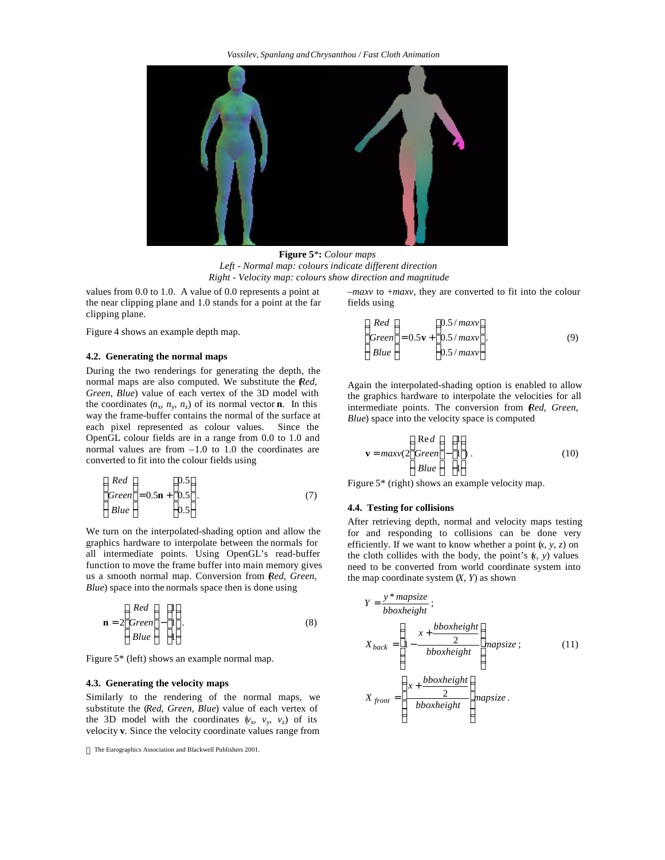

**Figure 5**\***:** *Colour maps Left - Normal map: colours indicate different direction Right - Velocity map: colours show direction and magnitude*

values from 0.0 to 1.0. A value of 0.0 represents a point at the near clipping plane and 1.0 stands for a point at the far clipping plane.

Figure 4 shows an example depth map.

## **4.2. Generating the normal maps**

During the two renderings for generating the depth, the normal maps are also computed. We substitute the (*Red*, *Green*, *Blue*) value of each vertex of the 3D model with the coordinates  $(n_x, n_y, n_z)$  of its normal vector **n**. In this way the frame-buffer contains the normal of the surface at each pixel represented as colour values. Since the OpenGL colour fields are in a range from 0.0 to 1.0 and normal values are from –1.0 to 1.0 the coordinates are converted to fit into the colour fields using

$$
\begin{pmatrix} Red \\ Green \\ Blue \end{pmatrix} = 0.5\mathbf{n} + \begin{pmatrix} 0.5 \\ 0.5 \\ 0.5 \end{pmatrix}.
$$
 (7)

We turn on the interpolated-shading option and allow the graphics hardware to interpolate between the normals for all intermediate points. Using OpenGL's read-buffer function to move the frame buffer into main memory gives us a smooth normal map. Conversion from (*Red*, *Green*, *Blue*) space into the normals space then is done using

$$
\mathbf{n} = 2 \begin{pmatrix} Red \\ Green \\ Blue \end{pmatrix} - \begin{pmatrix} 1 \\ 1 \\ 1 \end{pmatrix} . \tag{8}
$$

Figure 5\* (left) shows an example normal map.

## **4.3. Generating the velocity maps**

Similarly to the rendering of the normal maps, we substitute the (*Red*, *Green*, *Blue*) value of each vertex of the 3D model with the coordinates  $(v_x, v_y, v_z)$  of its velocity **v**. Since the velocity coordinate values range from –*maxv* to +*maxv,* they are converted to fit into the colour fields using

$$
\begin{pmatrix} Red \\ Green \\ Blue \end{pmatrix} = 0.5\mathbf{v} + \begin{pmatrix} 0.5/maxv \\ 0.5/maxv \\ 0.5/maxv \end{pmatrix}.
$$
 (9)

Again the interpolated-shading option is enabled to allow the graphics hardware to interpolate the velocities for all intermediate points. The conversion from (*Red*, *Green*, *Blue*) space into the velocity space is computed

$$
\mathbf{v} = maxv(2 \begin{pmatrix} Red \\ Green \\ Blue \end{pmatrix} - \begin{pmatrix} 1 \\ 1 \\ 1 \end{pmatrix} . \tag{10}
$$

Figure 5\* (right) shows an example velocity map.

## **4.4. Testing for collisions**

After retrieving depth, normal and velocity maps testing for and responding to collisions can be done very efficiently. If we want to know whether a point  $(x, y, z)$  on the cloth collides with the body, the point's  $(k, y)$  values need to be converted from world coordinate system into the map coordinate system  $(X, Y)$  as shown

$$
Y = \frac{y * mapsize}{bboxheight};
$$
  
\n
$$
X_{back} = \left(1 - \frac{x + \frac{bboxheight}{2}}{bboxheight}\right) mapsize; \qquad (11)
$$
  
\n
$$
X_{front} = \left(\frac{x + \frac{bboxheight}{2}}{bboxheight}\right) mapsize.
$$

The Eurographics Association and Blackwell Publishers 2001.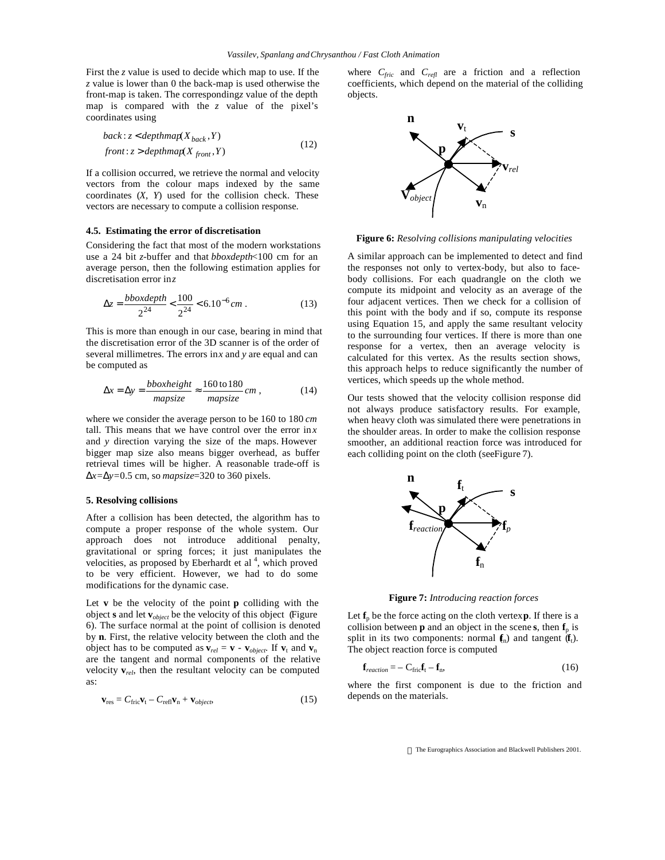First the *z* value is used to decide which map to use. If the *z* value is lower than 0 the back-map is used otherwise the front-map is taken. The corresponding *z* value of the depth map is compared with the *z* value of the pixel's coordinates using

$$
back: z < depthmap(X_{back}, Y)
$$
\n
$$
front: z > depthmap(X_{front}, Y) \tag{12}
$$

If a collision occurred, we retrieve the normal and velocity vectors from the colour maps indexed by the same coordinates (*X*, *Y*) used for the collision check. These vectors are necessary to compute a collision response.

### **4.5. Estimating the error of discretisation**

Considering the fact that most of the modern workstations use a 24 bit *z*-buffer and that *bboxdepth*<100 cm for an average person, then the following estimation applies for discretisation error in *z*

$$
\Delta z = \frac{b \, box \, depth}{2^{24}} < \frac{100}{2^{24}} < 6.10^{-6} \, cm \,. \tag{13}
$$

This is more than enough in our case, bearing in mind that the discretisation error of the 3D scanner is of the order of several millimetres. The errors in *x* and *y* are equal and can be computed as

$$
\Delta x = \Delta y = \frac{b \times \text{height}}{\text{mapsize}} \approx \frac{160 \text{ to } 180}{\text{mapsize}} \text{ cm},\tag{14}
$$

where we consider the average person to be 160 to 180 *cm* tall. This means that we have control over the error  $\ln x$ and *y* direction varying the size of the maps. However bigger map size also means bigger overhead, as buffer retrieval times will be higher. A reasonable trade-off is  $Dx=Dy=0.5$  cm, so *mapsize*=320 to 360 pixels.

## **5. Resolving collisions**

After a collision has been detected, the algorithm has to compute a proper response of the whole system. Our approach does not introduce additional penalty, gravitational or spring forces; it just manipulates the velocities, as proposed by Eberhardt et al<sup>4</sup>, which proved to be very efficient. However, we had to do some modifications for the dynamic case.

Let **v** be the velocity of the point **p** colliding with the object **s** and let **v***object* be the velocity of this object (Figure 6). The surface normal at the point of collision is denoted by **n**. First, the relative velocity between the cloth and the object has to be computed as  $\mathbf{v}_{rel} = \mathbf{v} - \mathbf{v}_{object}$ . If  $\mathbf{v}_t$  and  $\mathbf{v}_n$ are the tangent and normal components of the relative velocity  $\mathbf{v}_{rel}$ , then the resultant velocity can be computed as:

$$
\mathbf{v}_{\rm res} = C_{\rm fric} \mathbf{v}_{\rm t} - C_{\rm refl} \mathbf{v}_{\rm n} + \mathbf{v}_{object},\tag{15}
$$

where  $C_{fric}$  and  $C_{refl}$  are a friction and a reflection coefficients, which depend on the material of the colliding objects.



**Figure 6:** *Resolving collisions manipulating velocities*

A similar approach can be implemented to detect and find the responses not only to vertex-body, but also to facebody collisions. For each quadrangle on the cloth we compute its midpoint and velocity as an average of the four adjacent vertices. Then we check for a collision of this point with the body and if so, compute its response using Equation 15, and apply the same resultant velocity to the surrounding four vertices. If there is more than one response for a vertex, then an average velocity is calculated for this vertex. As the results section shows, this approach helps to reduce significantly the number of vertices, which speeds up the whole method.

Our tests showed that the velocity collision response did not always produce satisfactory results. For example, when heavy cloth was simulated there were penetrations in the shoulder areas. In order to make the collision response smoother, an additional reaction force was introduced for each colliding point on the cloth (see Figure 7).



**Figure 7:** *Introducing reaction forces*

Let  $f_p$  be the force acting on the cloth vertex **p**. If there is a collision between  $\bf{p}$  and an object in the scene  $\bf{s}$ , then  $\bf{f}_p$  is split in its two components: normal  $f_n$ ) and tangent  $(f_t)$ . The object reaction force is computed

$$
\mathbf{f}_{reaction} = -\mathbf{C}_{\text{fric}} \mathbf{f}_{\text{t}} - \mathbf{f}_{\text{n}},\tag{16}
$$

where the first component is due to the friction and depends on the materials.

The Eurographics Association and Blackwell Publishers 2001.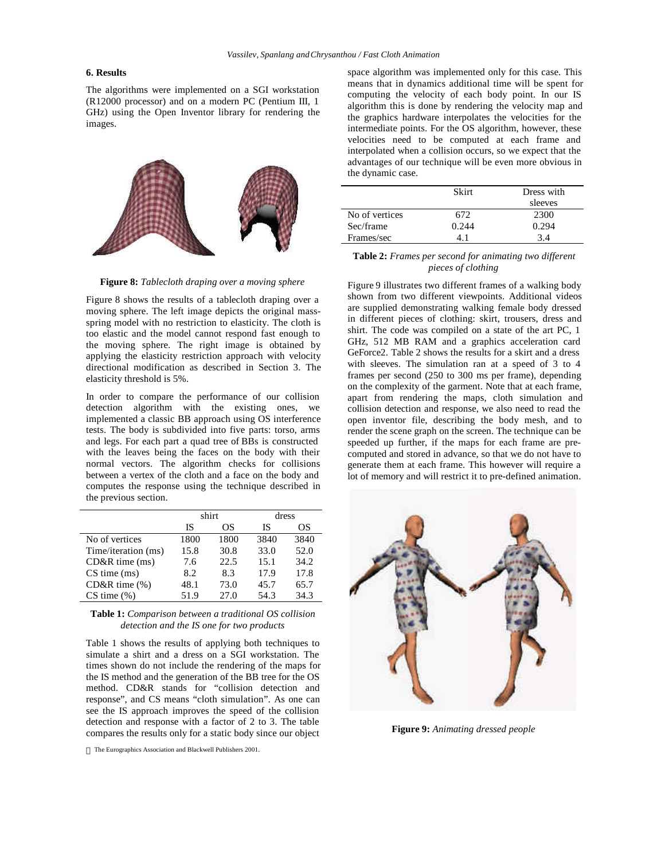## **6. Results**

The algorithms were implemented on a SGI workstation (R12000 processor) and on a modern PC (Pentium III, 1 GHz) using the Open Inventor library for rendering the images.



**Figure 8:** *Tablecloth draping over a moving sphere*

Figure 8 shows the results of a tablecloth draping over a moving sphere. The left image depicts the original massspring model with no restriction to elasticity. The cloth is too elastic and the model cannot respond fast enough to the moving sphere. The right image is obtained by applying the elasticity restriction approach with velocity directional modification as described in Section 3. The elasticity threshold is 5%.

In order to compare the performance of our collision detection algorithm with the existing ones, we implemented a classic BB approach using OS interference tests. The body is subdivided into five parts: torso, arms and legs. For each part a quad tree of BBs is constructed with the leaves being the faces on the body with their normal vectors. The algorithm checks for collisions between a vertex of the cloth and a face on the body and computes the response using the technique described in the previous section.

|                     | shirt |      | dress |      |
|---------------------|-------|------|-------|------|
|                     | IS    | ОS   | IS    | OS   |
| No of vertices      | 1800  | 1800 | 3840  | 3840 |
| Time/iteration (ms) | 15.8  | 30.8 | 33.0  | 52.0 |
| $CD&R$ time $(ms)$  | 7.6   | 22.5 | 15.1  | 34.2 |
| $CS$ time $(ms)$    | 8.2   | 8.3  | 17.9  | 17.8 |
| $CD&R$ time $(\%)$  | 48.1  | 73.0 | 45.7  | 65.7 |
| $CS$ time $(\%)$    | 51.9  | 27.0 | 54.3  | 34.3 |

**Table 1:** *Comparison between a traditional OS collision detection and the IS one for two products*

Table 1 shows the results of applying both techniques to simulate a shirt and a dress on a SGI workstation. The times shown do not include the rendering of the maps for the IS method and the generation of the BB tree for the OS method. CD&R stands for "collision detection and response", and CS means "cloth simulation". As one can see the IS approach improves the speed of the collision detection and response with a factor of 2 to 3. The table compares the results only for a static body since our object

The Eurographics Association and Blackwell Publishers 2001.

space algorithm was implemented only for this case. This means that in dynamics additional time will be spent for computing the velocity of each body point. In our IS algorithm this is done by rendering the velocity map and the graphics hardware interpolates the velocities for the intermediate points. For the OS algorithm, however, these velocities need to be computed at each frame and interpolated when a collision occurs, so we expect that the advantages of our technique will be even more obvious in the dynamic case.

|                | <b>Skirt</b> | Dress with |  |
|----------------|--------------|------------|--|
|                |              | sleeves    |  |
| No of vertices | 672          | 2300       |  |
| Sec/frame      | 0.244        | 0.294      |  |
| Frames/sec     |              | 34         |  |

## **Table 2:** *Frames per second for animating two different pieces of clothing*

Figure 9 illustrates two different frames of a walking body shown from two different viewpoints. Additional videos are supplied demonstrating walking female body dressed in different pieces of clothing: skirt, trousers, dress and shirt. The code was compiled on a state of the art PC, 1 GHz, 512 MB RAM and a graphics acceleration card GeForce2. Table 2 shows the results for a skirt and a dress with sleeves. The simulation ran at a speed of 3 to 4 frames per second (250 to 300 ms per frame), depending on the complexity of the garment. Note that at each frame, apart from rendering the maps, cloth simulation and collision detection and response, we also need to read the open inventor file, describing the body mesh, and to render the scene graph on the screen. The technique can be speeded up further, if the maps for each frame are precomputed and stored in advance, so that we do not have to generate them at each frame. This however will require a lot of memory and will restrict it to pre-defined animation.



**Figure 9:** *Animating dressed people*